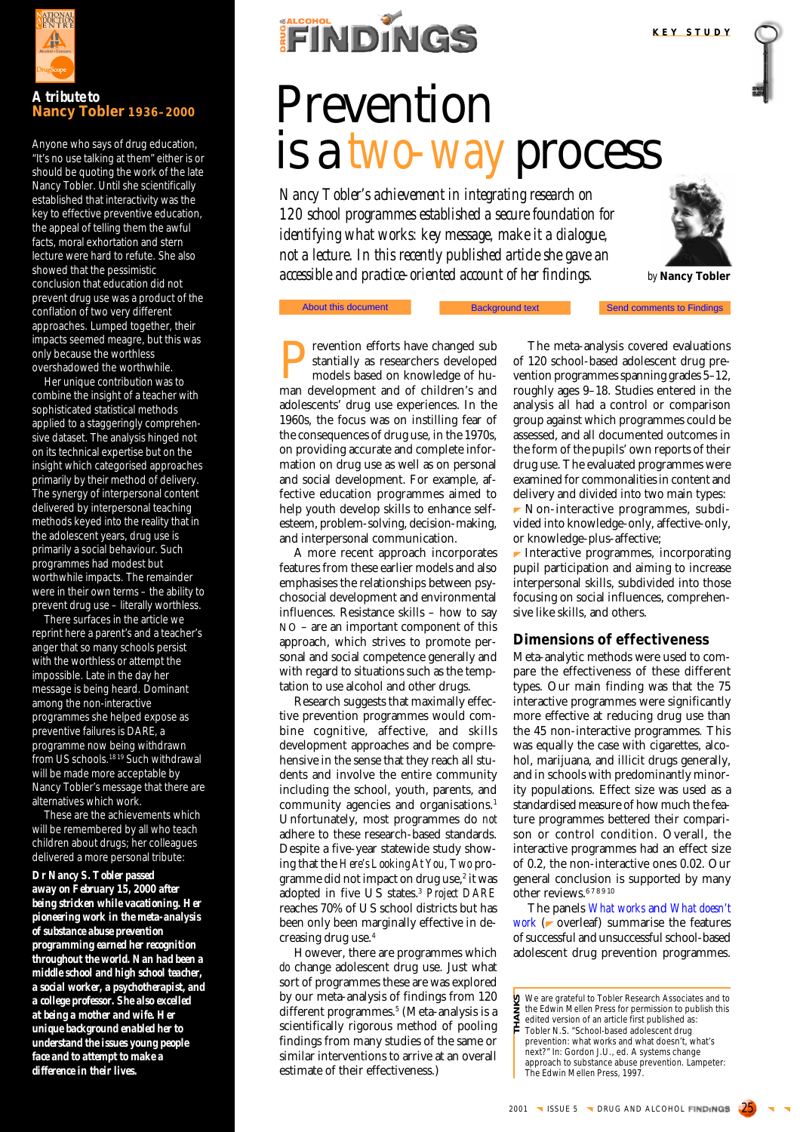

# *A tribute to* **Nancy Tobler 1936–2000**

Anyone who says of drug education, "It's no use talking at them" either is or should be quoting the work of the late Nancy Tobler. Until she scientifically established that interactivity was the key to effective preventive education, the appeal of telling them the awful facts, moral exhortation and stern lecture were hard to refute. She also showed that the pessimistic conclusion that education did not prevent drug use was a product of the conflation of two very different approaches. Lumped together, their impacts seemed meagre, but this was only because the worthless overshadowed the worthwhile.

Her unique contribution was to combine the insight of a teacher with sophisticated statistical methods applied to a staggeringly comprehensive dataset. The analysis hinged not on its technical expertise but on the insight which categorised approaches primarily by their method of delivery. The synergy of interpersonal content delivered by interpersonal teaching methods keyed into the reality that in the adolescent years, drug use is primarily a social behaviour. Such programmes had modest but worthwhile impacts. The remainder were in their own terms – the ability to prevent drug use – literally worthless.

There surfaces in the article we reprint here a parent's and a teacher's anger that so many schools persist with the worthless or attempt the impossible. Late in the day her message is being heard. Dominant among the non-interactive programmes she helped expose as preventive failures is DARE, a programme now being withdrawn from US schools.<sup>1819</sup> Such withdrawal will be made more acceptable by Nancy Tobler's message that there are alternatives which work.

These are the achievements which will be remembered by all who teach children about drugs; her colleagues delivered a more personal tribute:

# *Dr Nancy S. Tobler passed*

*away on February 15, 2000 after being stricken while vacationing. Her pioneering work in the meta-analysis of substance abuse prevention programming earned her recognition throughout the world. Nan had been a middle school and high school teacher, a social worker, a psychotherapist, and a college professor. She also excelled at being a mother and wife. Her unique background enabled her to understand the issues young people face and to attempt to make a difference in their lives.*



# Prevention is a *two-way* process

*Nancy Tobler's achievement in integrating research on 120 school programmes established a secure foundation for identifying what works: key message, make it a dialogue, not a lecture. In this recently published article she gave an accessible and practice-oriented account of her findings.*

Background text



*by* **Nancy Tobler**

**Send comments to Findings** 

#### About this document publisher 1997

**Prevention efforts have changed substantially as researchers developed** models based on knowledge of hustantially as researchers developed models based on knowledge of human development and of children's and adolescents' drug use experiences. In the 1960s, the focus was on instilling fear of the consequences of drug use, in the 1970s, on providing accurate and complete information on drug use as well as on personal and social development. For example, affective education programmes aimed to help youth develop skills to enhance selfesteem, problem-solving, decision-making, and interpersonal communication.

A more recent approach incorporates features from these earlier models and also emphasises the relationships between psychosocial development and environmental influences. Resistance skills – how to say NO – are an important component of this approach, which strives to promote personal and social competence generally and with regard to situations such as the temptation to use alcohol and other drugs.

Research suggests that maximally effective prevention programmes would combine cognitive, affective, and skills development approaches and be comprehensive in the sense that they reach all students and involve the entire community including the school, youth, parents, and community agencies and organisations.<sup>1</sup> Unfortunately, most programmes do *not* adhere to these research-based standards. Despite a five-year statewide study showing that the *Here's Looking At You, Two* programme did not impact on drug use,<sup>2</sup> it was adopted in five US states.3 *Project DARE* reaches 70% of US school districts but has been only been marginally effective in decreasing drug use.4

However, there are programmes which *do* change adolescent drug use. Just what sort of programmes these are was explored by our meta-analysis of findings from 120 different programmes.5 (Meta-analysis is a scientifically rigorous method of pooling findings from many studies of the same or similar interventions to arrive at an overall estimate of their effectiveness.)

The meta-analysis covered evaluations of 120 school-based adolescent drug prevention programmes spanning grades 5–12, roughly ages 9–18. Studies entered in the analysis all had a control or comparison group against which programmes could be assessed, and all documented outcomes in the form of the pupils' own reports of their drug use. The evaluated programmes were examined for commonalities in content and delivery and divided into two main types:  $\blacktriangleright$  Non-interactive programmes, subdivided into knowledge-only, affective-only, or knowledge-plus-affective;

 $\blacktriangleright$  Interactive programmes, incorporating pupil participation and aiming to increase interpersonal skills, subdivided into those focusing on social influences, comprehensive like skills, and others.

# **Dimensions of effectiveness**

Meta-analytic methods were used to compare the effectiveness of these different types. Our main finding was that the 75 interactive programmes were significantly more effective at reducing drug use than the 45 non-interactive programmes*.* This was equally the case with cigarettes, alcohol, marijuana, and illicit drugs generally, and in schools with predominantly minority populations. Effect size was used as a standardised measure of how much the feature programmes bettered their comparison or control condition. Overall, the interactive programmes had an effect size of 0.2, the non-interactive ones 0.02. Our general conclusion is supported by many other reviews.<sup>678910</sup>

The panels *What works* and *[What doesn't](#page-2-0) [work](#page-2-0)* ( $\triangleright$  overleaf) summarise the features of successful and unsuccessful school-based adolescent drug prevention programmes.

We are grateful to Tobler Research Associates and to the Edwin Mellen Press for permission to publish this **THANKS**

edited version of an article first published as:

퐅 Tobler N.S. "School-based adolescent drug prevention: what works and what doesn't, what's

next?" In: Gordon J.U., *ed. A systems change*

*approach to substance abuse prevention*. Lampeter: The Edwin Mellen Press, 1997.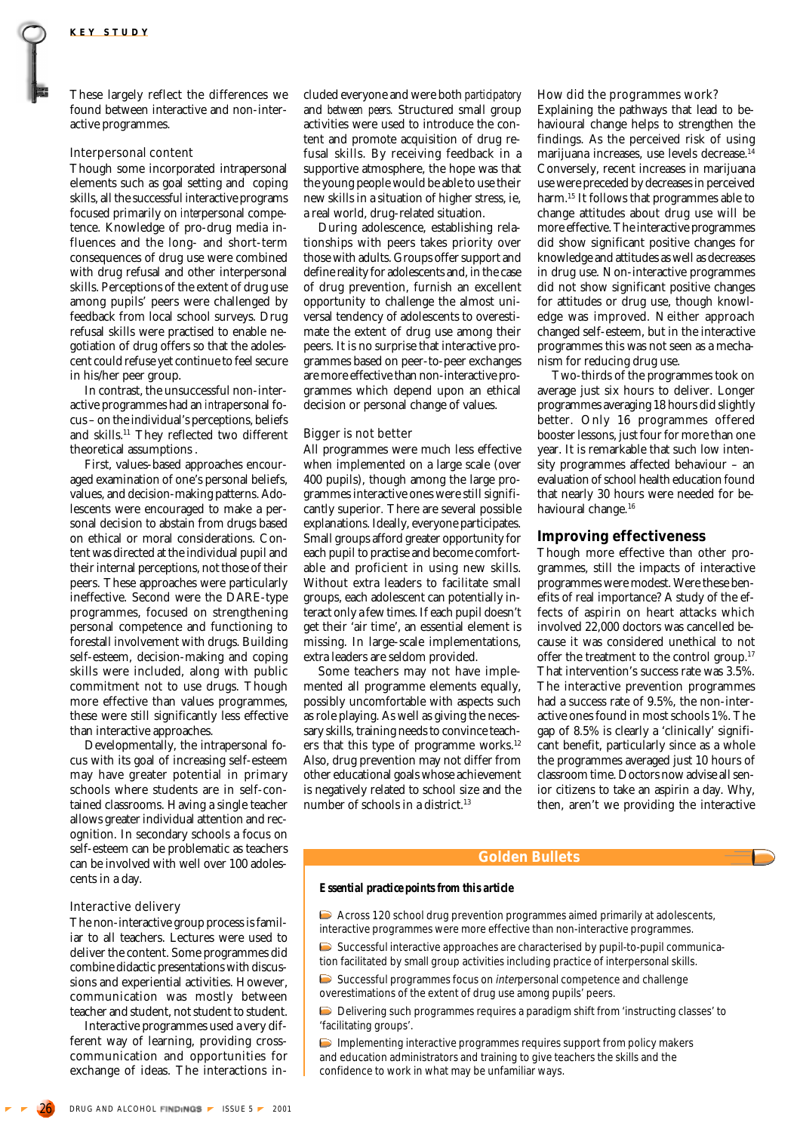These largely reflect the differences we found between interactive and non-interactive programmes.

#### Interpersonal content

Though some incorporated intrapersonal elements such as goal setting and coping skills, all the successful interactive programs focused primarily on *inter*personal competence. Knowledge of pro-drug media influences and the long- and short-term consequences of drug use were combined with drug refusal and other interpersonal skills. Perceptions of the extent of drug use among pupils' peers were challenged by feedback from local school surveys. Drug refusal skills were practised to enable negotiation of drug offers so that the adolescent could refuse yet continue to feel secure in his/her peer group.

In contrast, the unsuccessful non-interactive programmes had an *intra*personal focus – on the individual's perceptions, beliefs and skills.<sup>11</sup> They reflected two different theoretical assumptions .

First, values-based approaches encouraged examination of one's personal beliefs, values, and decision-making patterns. Adolescents were encouraged to make a personal decision to abstain from drugs based on ethical or moral considerations. Content was directed at the individual pupil and their internal perceptions, not those of their peers. These approaches were particularly ineffective. Second were the DARE-type programmes, focused on strengthening personal competence and functioning to forestall involvement with drugs. Building self-esteem, decision-making and coping skills were included, along with public commitment not to use drugs. Though more effective than values programmes, these were still significantly less effective than interactive approaches.

Developmentally, the intrapersonal focus with its goal of increasing self-esteem may have greater potential in primary schools where students are in self-contained classrooms. Having a single teacher allows greater individual attention and recognition. In secondary schools a focus on self-esteem can be problematic as teachers can be involved with well over 100 adolescents in a day.

#### Interactive delivery

The non-interactive group process is familiar to all teachers. Lectures were used to deliver the content. Some programmes did combine didactic presentations with discussions and experiential activities. However, communication was mostly between teacher and student, not student to student.

Interactive programmes used a very different way of learning, providing crosscommunication and opportunities for exchange of ideas. The interactions included everyone and were both *participatory* and *between peers.* Structured small group activities were used to introduce the content and promote acquisition of drug refusal skills. By receiving feedback in a supportive atmosphere, the hope was that the young people would be able to use their new skills in a situation of higher stress, ie, a real world, drug-related situation.

During adolescence, establishing relationships with peers takes priority over those with adults. Groups offer support and define reality for adolescents and, in the case of drug prevention, furnish an excellent opportunity to challenge the almost universal tendency of adolescents to overestimate the extent of drug use among their peers. It is no surprise that interactive programmes based on peer-to-peer exchanges are more effective than non-interactive programmes which depend upon an ethical decision or personal change of values.

### Bigger is not better

All programmes were much less effective when implemented on a large scale (over 400 pupils), though among the large programmes interactive ones were still significantly superior*.* There are several possible explanations. Ideally, everyone participates. Small groups afford greater opportunity for each pupil to practise and become comfortable and proficient in using new skills. Without extra leaders to facilitate small groups, each adolescent can potentially interact only a few times. If each pupil doesn't get their 'air time', an essential element is missing. In large-scale implementations, extra leaders are seldom provided.

Some teachers may not have implemented all programme elements equally, possibly uncomfortable with aspects such as role playing. As well as giving the necessary skills, training needs to convince teachers that this type of programme works.<sup>12</sup> Also, drug prevention may not differ from other educational goals whose achievement is negatively related to school size and the number of schools in a district.13

#### How did the programmes work?

Explaining the pathways that lead to behavioural change helps to strengthen the findings. As the perceived risk of using marijuana increases, use levels decrease.14 Conversely, recent increases in marijuana use were preceded by decreases in perceived harm.15 It follows that programmes able to change attitudes about drug use will be more effective. The interactive programmes did show significant positive changes for knowledge and attitudes as well as decreases in drug use. Non-interactive programmes did not show significant positive changes for attitudes or drug use, though knowledge was improved. Neither approach changed self-esteem, but in the interactive programmes this was not seen as a mechanism for reducing drug use.

Two-thirds of the programmes took on average just six hours to deliver. Longer programmes averaging 18 hours did slightly better. Only 16 programmes offered booster lessons, just four for more than one year. It is remarkable that such low intensity programmes affected behaviour – an evaluation of school health education found that nearly 30 hours were needed for behavioural change.16

# **Improving effectiveness**

Though more effective than other programmes, still the impacts of interactive programmes were modest. Were these benefits of real importance? A study of the effects of aspirin on heart attacks which involved 22,000 doctors was cancelled because it was considered unethical to not offer the treatment to the control group.<sup>17</sup> That intervention's success rate was 3.5%. The interactive prevention programmes had a success rate of 9.5%, the non-interactive ones found in most schools 1%. The gap of 8.5% is clearly a 'clinically' significant benefit, particularly since as a whole the programmes averaged just 10 hours of classroom time. Doctors now advise all senior citizens to take an aspirin a day. Why, then, aren't we providing the interactive

# **Golden Bullets**

## *Essential practice points from this article*

Across 120 school drug prevention programmes aimed primarily at adolescents, interactive programmes were more effective than non-interactive programmes.

 $\triangleright$  Successful interactive approaches are characterised by pupil-to-pupil communication facilitated by small group activities including practice of interpersonal skills.

 $\triangleright$  Successful programmes focus on *interpersonal* competence and challenge overestimations of the extent of drug use among pupils' peers.

Delivering such programmes requires a paradigm shift from 'instructing classes' to 'facilitating groups'.

Implementing interactive programmes requires support from policy makers and education administrators and training to give teachers the skills and the confidence to work in what may be unfamiliar ways.